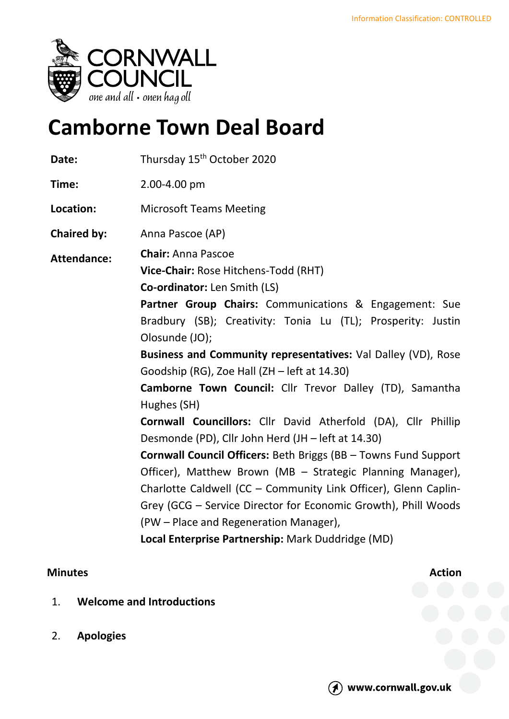

# **Camborne Town Deal Board**

| Date:              | Thursday 15 <sup>th</sup> October 2020                                                                                                                                                                                                                                                                                                                                                                                                                                                                                                                                                                                                                                                                          |
|--------------------|-----------------------------------------------------------------------------------------------------------------------------------------------------------------------------------------------------------------------------------------------------------------------------------------------------------------------------------------------------------------------------------------------------------------------------------------------------------------------------------------------------------------------------------------------------------------------------------------------------------------------------------------------------------------------------------------------------------------|
| Time:              | 2.00-4.00 pm                                                                                                                                                                                                                                                                                                                                                                                                                                                                                                                                                                                                                                                                                                    |
| Location:          | <b>Microsoft Teams Meeting</b>                                                                                                                                                                                                                                                                                                                                                                                                                                                                                                                                                                                                                                                                                  |
| <b>Chaired by:</b> | Anna Pascoe (AP)                                                                                                                                                                                                                                                                                                                                                                                                                                                                                                                                                                                                                                                                                                |
| <b>Attendance:</b> | <b>Chair: Anna Pascoe</b><br>Vice-Chair: Rose Hitchens-Todd (RHT)<br><b>Co-ordinator:</b> Len Smith (LS)<br>Partner Group Chairs: Communications & Engagement: Sue<br>Bradbury (SB); Creativity: Tonia Lu (TL); Prosperity: Justin<br>Olosunde (JO);<br>Business and Community representatives: Val Dalley (VD), Rose<br>Goodship (RG), Zoe Hall (ZH - left at 14.30)<br>Camborne Town Council: Cllr Trevor Dalley (TD), Samantha<br>Hughes (SH)<br>Cornwall Councillors: Cllr David Atherfold (DA), Cllr Phillip<br>Desmonde (PD), Cllr John Herd (JH - left at 14.30)<br><b>Cornwall Council Officers: Beth Briggs (BB - Towns Fund Support</b><br>Officer), Matthew Brown (MB - Strategic Planning Manager), |
|                    | Charlotte Caldwell (CC - Community Link Officer), Glenn Caplin-                                                                                                                                                                                                                                                                                                                                                                                                                                                                                                                                                                                                                                                 |
|                    | Grey (GCG - Service Director for Economic Growth), Phill Woods<br>(PW - Place and Regeneration Manager),                                                                                                                                                                                                                                                                                                                                                                                                                                                                                                                                                                                                        |
|                    | Local Enterprise Partnership: Mark Duddridge (MD)                                                                                                                                                                                                                                                                                                                                                                                                                                                                                                                                                                                                                                                               |

# **Minutes Action**

- 1. **Welcome and Introductions**
- 2. **Apologies**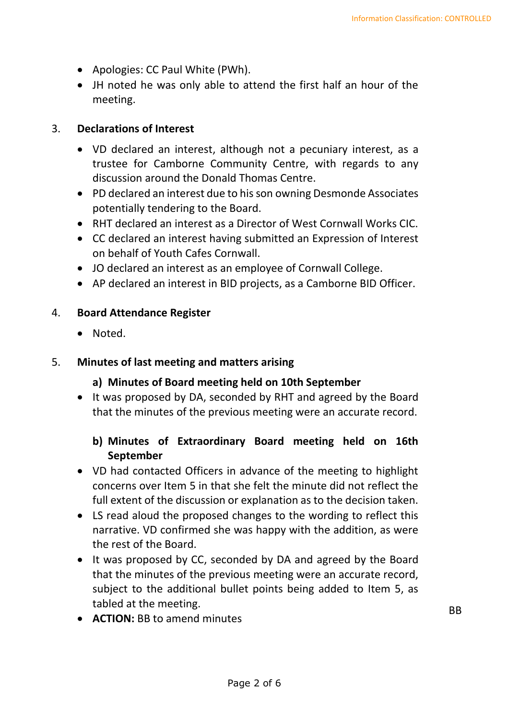- Apologies: CC Paul White (PWh).
- JH noted he was only able to attend the first half an hour of the meeting.

#### 3. **Declarations of Interest**

- VD declared an interest, although not a pecuniary interest, as a trustee for Camborne Community Centre, with regards to any discussion around the Donald Thomas Centre.
- PD declared an interest due to his son owning Desmonde Associates potentially tendering to the Board.
- RHT declared an interest as a Director of West Cornwall Works CIC.
- CC declared an interest having submitted an Expression of Interest on behalf of Youth Cafes Cornwall.
- JO declared an interest as an employee of Cornwall College.
- AP declared an interest in BID projects, as a Camborne BID Officer.

#### 4. **Board Attendance Register**

• Noted.

#### 5. **Minutes of last meeting and matters arising**

#### **a) Minutes of Board meeting held on 10th September**

• It was proposed by DA, seconded by RHT and agreed by the Board that the minutes of the previous meeting were an accurate record.

## **b) Minutes of Extraordinary Board meeting held on 16th September**

- VD had contacted Officers in advance of the meeting to highlight concerns over Item 5 in that she felt the minute did not reflect the full extent of the discussion or explanation as to the decision taken.
- LS read aloud the proposed changes to the wording to reflect this narrative. VD confirmed she was happy with the addition, as were the rest of the Board.
- It was proposed by CC, seconded by DA and agreed by the Board that the minutes of the previous meeting were an accurate record, subject to the additional bullet points being added to Item 5, as tabled at the meeting.
- **ACTION:** BB to amend minutes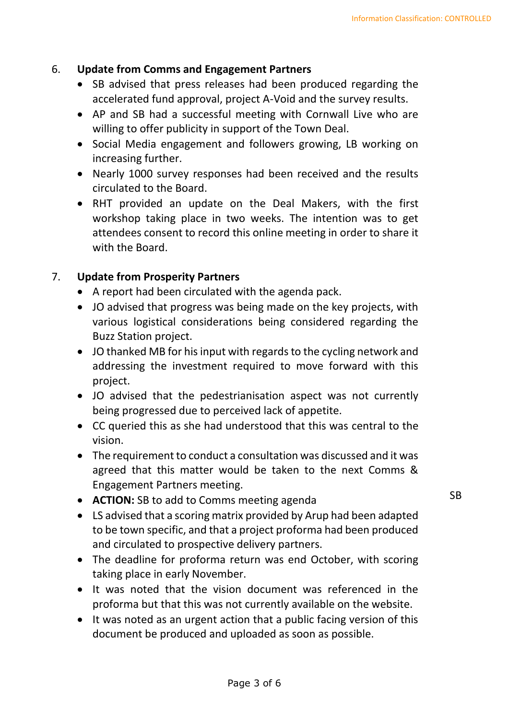#### 6. **Update from Comms and Engagement Partners**

- SB advised that press releases had been produced regarding the accelerated fund approval, project A-Void and the survey results.
- AP and SB had a successful meeting with Cornwall Live who are willing to offer publicity in support of the Town Deal.
- Social Media engagement and followers growing, LB working on increasing further.
- Nearly 1000 survey responses had been received and the results circulated to the Board.
- RHT provided an update on the Deal Makers, with the first workshop taking place in two weeks. The intention was to get attendees consent to record this online meeting in order to share it with the Board.

## 7. **Update from Prosperity Partners**

- A report had been circulated with the agenda pack.
- JO advised that progress was being made on the key projects, with various logistical considerations being considered regarding the Buzz Station project.
- JO thanked MB for his input with regards to the cycling network and addressing the investment required to move forward with this project.
- JO advised that the pedestrianisation aspect was not currently being progressed due to perceived lack of appetite.
- CC queried this as she had understood that this was central to the vision.
- The requirement to conduct a consultation was discussed and it was agreed that this matter would be taken to the next Comms & Engagement Partners meeting.
- **ACTION:** SB to add to Comms meeting agenda
- LS advised that a scoring matrix provided by Arup had been adapted to be town specific, and that a project proforma had been produced and circulated to prospective delivery partners.
- The deadline for proforma return was end October, with scoring taking place in early November.
- It was noted that the vision document was referenced in the proforma but that this was not currently available on the website.
- It was noted as an urgent action that a public facing version of this document be produced and uploaded as soon as possible.

SB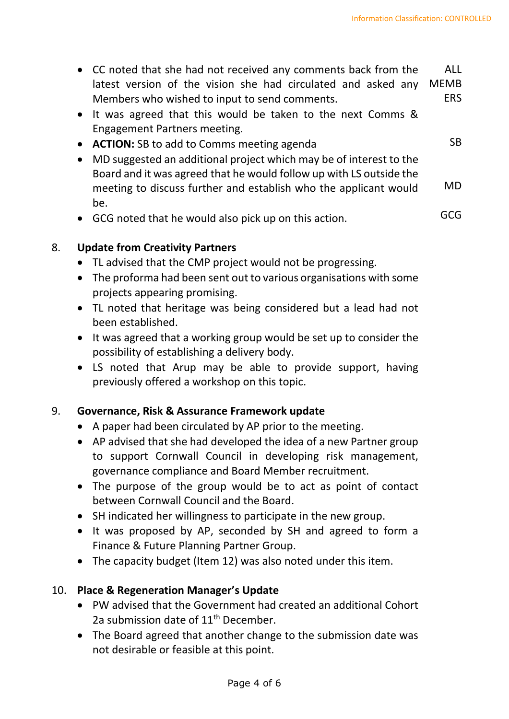SB

- CC noted that she had not received any comments back from the latest version of the vision she had circulated and asked any Members who wished to input to send comments. ALL MEMB ERS
- It was agreed that this would be taken to the next Comms & Engagement Partners meeting.
- **ACTION:** SB to add to Comms meeting agenda
- MD suggested an additional project which may be of interest to the Board and it was agreed that he would follow up with LS outside the meeting to discuss further and establish who the applicant would be. MD
- GCG noted that he would also pick up on this action. GCG

## 8. **Update from Creativity Partners**

- TL advised that the CMP project would not be progressing.
- The proforma had been sent out to various organisations with some projects appearing promising.
- TL noted that heritage was being considered but a lead had not been established.
- It was agreed that a working group would be set up to consider the possibility of establishing a delivery body.
- LS noted that Arup may be able to provide support, having previously offered a workshop on this topic.

## 9. **Governance, Risk & Assurance Framework update**

- A paper had been circulated by AP prior to the meeting.
- AP advised that she had developed the idea of a new Partner group to support Cornwall Council in developing risk management, governance compliance and Board Member recruitment.
- The purpose of the group would be to act as point of contact between Cornwall Council and the Board.
- SH indicated her willingness to participate in the new group.
- It was proposed by AP, seconded by SH and agreed to form a Finance & Future Planning Partner Group.
- The capacity budget (Item 12) was also noted under this item.

#### 10. **Place & Regeneration Manager's Update**

- PW advised that the Government had created an additional Cohort 2a submission date of  $11<sup>th</sup>$  December.
- The Board agreed that another change to the submission date was not desirable or feasible at this point.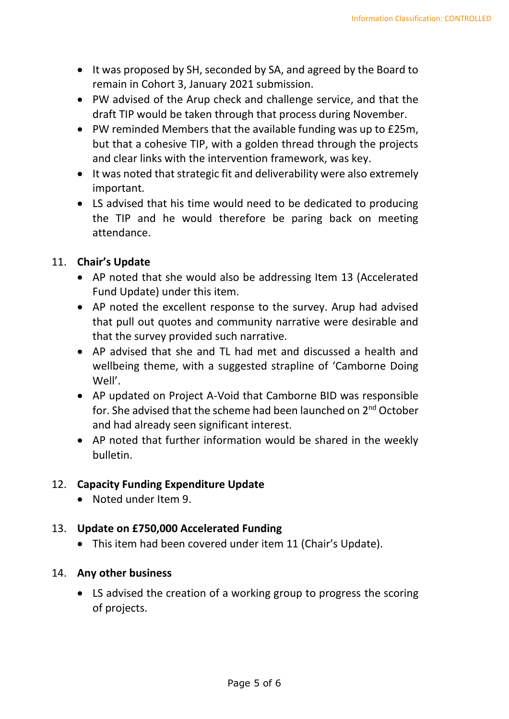- It was proposed by SH, seconded by SA, and agreed by the Board to remain in Cohort 3, January 2021 submission.
- PW advised of the Arup check and challenge service, and that the draft TIP would be taken through that process during November.
- PW reminded Members that the available funding was up to £25m, but that a cohesive TIP, with a golden thread through the projects and clear links with the intervention framework, was key.
- It was noted that strategic fit and deliverability were also extremely important.
- LS advised that his time would need to be dedicated to producing the TIP and he would therefore be paring back on meeting attendance.

# 11. **Chair's Update**

- AP noted that she would also be addressing Item 13 (Accelerated Fund Update) under this item.
- AP noted the excellent response to the survey. Arup had advised that pull out quotes and community narrative were desirable and that the survey provided such narrative.
- AP advised that she and TL had met and discussed a health and wellbeing theme, with a suggested strapline of 'Camborne Doing Well'.
- AP updated on Project A-Void that Camborne BID was responsible for. She advised that the scheme had been launched on 2<sup>nd</sup> October and had already seen significant interest.
- AP noted that further information would be shared in the weekly bulletin.

## 12. **Capacity Funding Expenditure Update**

• Noted under Item 9.

## 13. **Update on £750,000 Accelerated Funding**

- This item had been covered under item 11 (Chair's Update).
- 14. **Any other business**
	- LS advised the creation of a working group to progress the scoring of projects.